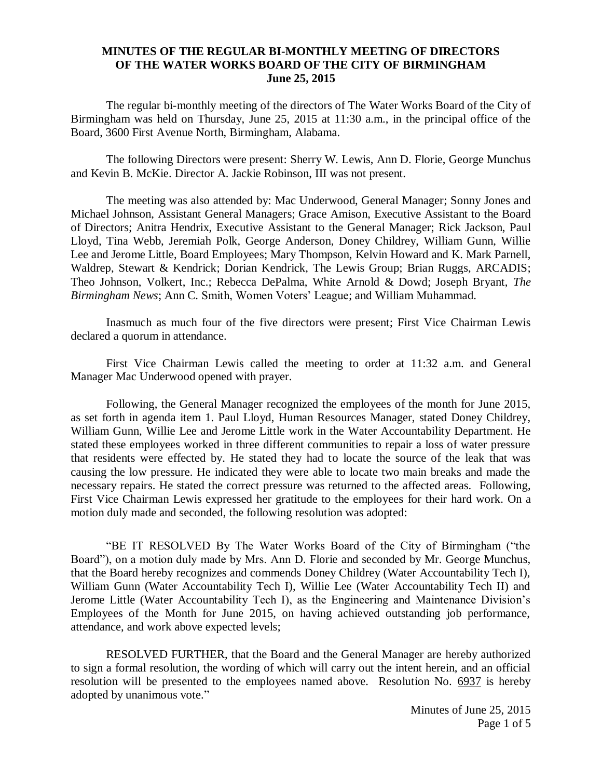## **MINUTES OF THE REGULAR BI-MONTHLY MEETING OF DIRECTORS OF THE WATER WORKS BOARD OF THE CITY OF BIRMINGHAM June 25, 2015**

The regular bi-monthly meeting of the directors of The Water Works Board of the City of Birmingham was held on Thursday, June 25, 2015 at 11:30 a.m., in the principal office of the Board, 3600 First Avenue North, Birmingham, Alabama.

The following Directors were present: Sherry W. Lewis, Ann D. Florie, George Munchus and Kevin B. McKie. Director A. Jackie Robinson, III was not present.

The meeting was also attended by: Mac Underwood, General Manager; Sonny Jones and Michael Johnson, Assistant General Managers; Grace Amison, Executive Assistant to the Board of Directors; Anitra Hendrix, Executive Assistant to the General Manager; Rick Jackson, Paul Lloyd, Tina Webb, Jeremiah Polk, George Anderson, Doney Childrey, William Gunn, Willie Lee and Jerome Little, Board Employees; Mary Thompson, Kelvin Howard and K. Mark Parnell, Waldrep, Stewart & Kendrick; Dorian Kendrick, The Lewis Group; Brian Ruggs, ARCADIS; Theo Johnson, Volkert, Inc.; Rebecca DePalma, White Arnold & Dowd; Joseph Bryant, *The Birmingham News*; Ann C. Smith, Women Voters' League; and William Muhammad.

Inasmuch as much four of the five directors were present; First Vice Chairman Lewis declared a quorum in attendance.

First Vice Chairman Lewis called the meeting to order at 11:32 a.m. and General Manager Mac Underwood opened with prayer.

Following, the General Manager recognized the employees of the month for June 2015, as set forth in agenda item 1. Paul Lloyd, Human Resources Manager, stated Doney Childrey, William Gunn, Willie Lee and Jerome Little work in the Water Accountability Department. He stated these employees worked in three different communities to repair a loss of water pressure that residents were effected by. He stated they had to locate the source of the leak that was causing the low pressure. He indicated they were able to locate two main breaks and made the necessary repairs. He stated the correct pressure was returned to the affected areas. Following, First Vice Chairman Lewis expressed her gratitude to the employees for their hard work. On a motion duly made and seconded, the following resolution was adopted:

"BE IT RESOLVED By The Water Works Board of the City of Birmingham ("the Board"), on a motion duly made by Mrs. Ann D. Florie and seconded by Mr. George Munchus, that the Board hereby recognizes and commends Doney Childrey (Water Accountability Tech I), William Gunn (Water Accountability Tech I), Willie Lee (Water Accountability Tech II) and Jerome Little (Water Accountability Tech I), as the Engineering and Maintenance Division's Employees of the Month for June 2015, on having achieved outstanding job performance, attendance, and work above expected levels;

RESOLVED FURTHER, that the Board and the General Manager are hereby authorized to sign a formal resolution, the wording of which will carry out the intent herein, and an official resolution will be presented to the employees named above. Resolution No. 6937 is hereby adopted by unanimous vote."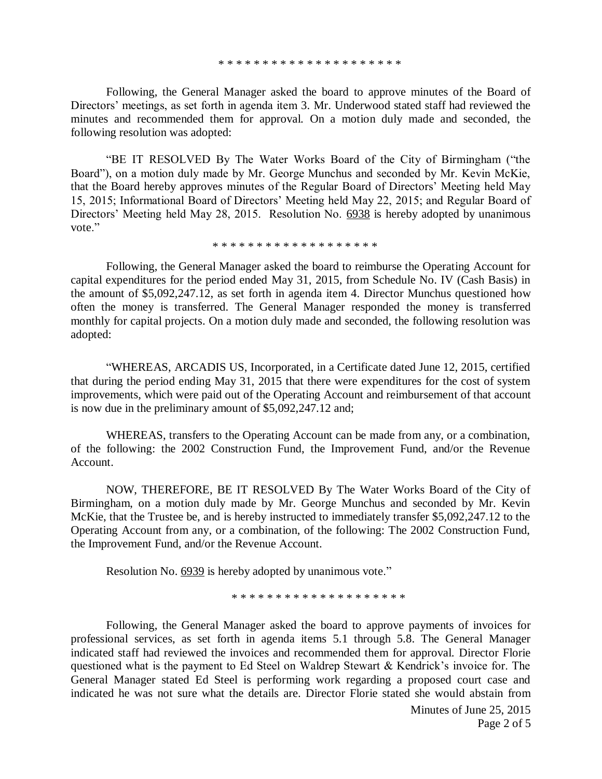Following, the General Manager asked the board to approve minutes of the Board of Directors' meetings, as set forth in agenda item 3. Mr. Underwood stated staff had reviewed the minutes and recommended them for approval. On a motion duly made and seconded, the following resolution was adopted:

"BE IT RESOLVED By The Water Works Board of the City of Birmingham ("the Board"), on a motion duly made by Mr. George Munchus and seconded by Mr. Kevin McKie, that the Board hereby approves minutes of the Regular Board of Directors' Meeting held May 15, 2015; Informational Board of Directors' Meeting held May 22, 2015; and Regular Board of Directors' Meeting held May 28, 2015. Resolution No. 6938 is hereby adopted by unanimous vote."

\* \* \* \* \* \* \* \* \* \* \* \* \* \* \* \* \* \* \*

Following, the General Manager asked the board to reimburse the Operating Account for capital expenditures for the period ended May 31, 2015, from Schedule No. IV (Cash Basis) in the amount of \$5,092,247.12, as set forth in agenda item 4. Director Munchus questioned how often the money is transferred. The General Manager responded the money is transferred monthly for capital projects. On a motion duly made and seconded, the following resolution was adopted:

"WHEREAS, ARCADIS US, Incorporated, in a Certificate dated June 12, 2015, certified that during the period ending May 31, 2015 that there were expenditures for the cost of system improvements, which were paid out of the Operating Account and reimbursement of that account is now due in the preliminary amount of \$5,092,247.12 and;

WHEREAS, transfers to the Operating Account can be made from any, or a combination, of the following: the 2002 Construction Fund, the Improvement Fund, and/or the Revenue Account.

NOW, THEREFORE, BE IT RESOLVED By The Water Works Board of the City of Birmingham, on a motion duly made by Mr. George Munchus and seconded by Mr. Kevin McKie, that the Trustee be, and is hereby instructed to immediately transfer \$5,092,247.12 to the Operating Account from any, or a combination, of the following: The 2002 Construction Fund, the Improvement Fund, and/or the Revenue Account.

Resolution No. 6939 is hereby adopted by unanimous vote."

\* \* \* \* \* \* \* \* \* \* \* \* \* \* \* \* \* \* \* \*

Following, the General Manager asked the board to approve payments of invoices for professional services, as set forth in agenda items 5.1 through 5.8. The General Manager indicated staff had reviewed the invoices and recommended them for approval. Director Florie questioned what is the payment to Ed Steel on Waldrep Stewart & Kendrick's invoice for. The General Manager stated Ed Steel is performing work regarding a proposed court case and indicated he was not sure what the details are. Director Florie stated she would abstain from

> Minutes of June 25, 2015 Page 2 of 5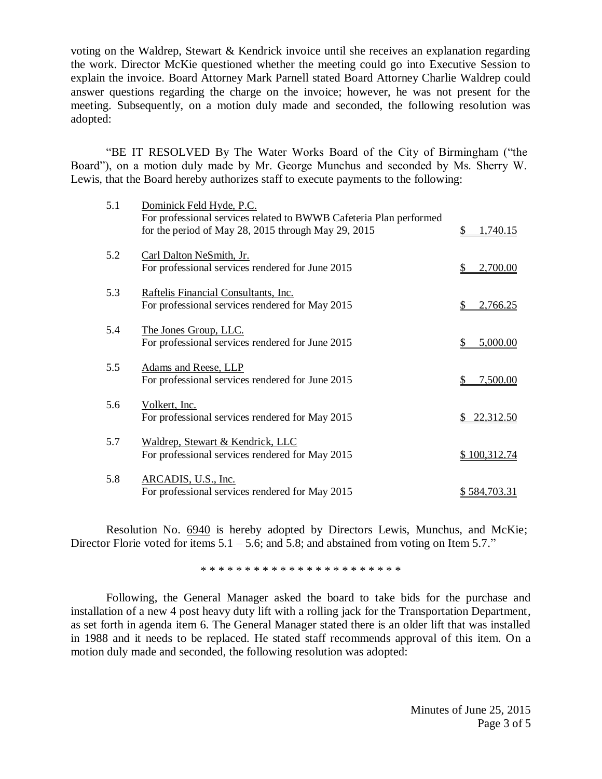voting on the Waldrep, Stewart & Kendrick invoice until she receives an explanation regarding the work. Director McKie questioned whether the meeting could go into Executive Session to explain the invoice. Board Attorney Mark Parnell stated Board Attorney Charlie Waldrep could answer questions regarding the charge on the invoice; however, he was not present for the meeting. Subsequently, on a motion duly made and seconded, the following resolution was adopted:

"BE IT RESOLVED By The Water Works Board of the City of Birmingham ("the Board"), on a motion duly made by Mr. George Munchus and seconded by Ms. Sherry W. Lewis, that the Board hereby authorizes staff to execute payments to the following:

| 5.1 | Dominick Feld Hyde, P.C.<br>For professional services related to BWWB Cafeteria Plan performed<br>for the period of May 28, 2015 through May 29, 2015 | 1,740.15<br>\$ |
|-----|-------------------------------------------------------------------------------------------------------------------------------------------------------|----------------|
| 5.2 | Carl Dalton NeSmith, Jr.<br>For professional services rendered for June 2015                                                                          | 2,700.00       |
| 5.3 | Raftelis Financial Consultants, Inc.<br>For professional services rendered for May 2015                                                               | 2,766.25<br>\$ |
| 5.4 | The Jones Group, LLC.<br>For professional services rendered for June 2015                                                                             | 5,000.00       |
| 5.5 | Adams and Reese, LLP<br>For professional services rendered for June 2015                                                                              | 7,500.00       |
| 5.6 | Volkert, Inc.<br>For professional services rendered for May 2015                                                                                      | 22,312.50      |
| 5.7 | Waldrep, Stewart & Kendrick, LLC<br>For professional services rendered for May 2015                                                                   | \$100,312.74   |
| 5.8 | ARCADIS, U.S., Inc.<br>For professional services rendered for May 2015                                                                                | \$584,703.31   |

Resolution No. 6940 is hereby adopted by Directors Lewis, Munchus, and McKie; Director Florie voted for items  $5.1 - 5.6$ ; and  $5.8$ ; and abstained from voting on Item  $5.7$ ."

\* \* \* \* \* \* \* \* \* \* \* \* \* \* \* \* \* \* \* \* \* \* \*

Following, the General Manager asked the board to take bids for the purchase and installation of a new 4 post heavy duty lift with a rolling jack for the Transportation Department, as set forth in agenda item 6. The General Manager stated there is an older lift that was installed in 1988 and it needs to be replaced. He stated staff recommends approval of this item. On a motion duly made and seconded, the following resolution was adopted: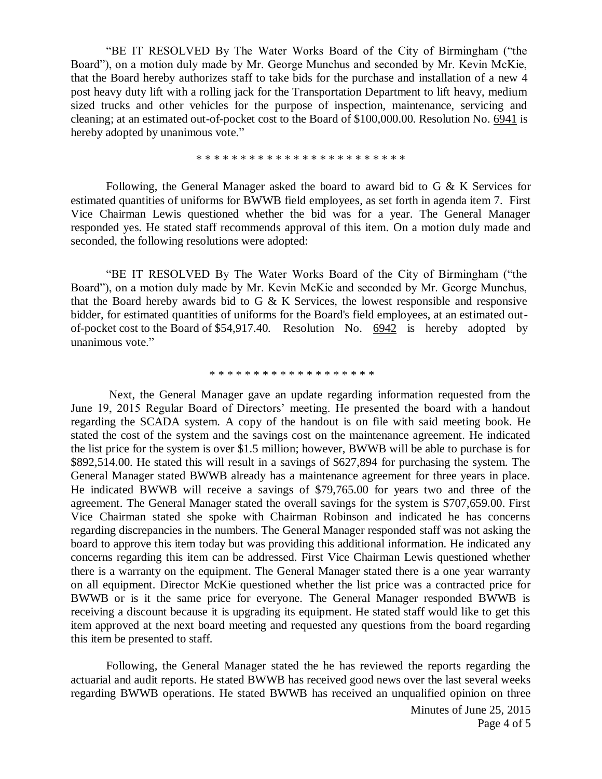"BE IT RESOLVED By The Water Works Board of the City of Birmingham ("the Board"), on a motion duly made by Mr. George Munchus and seconded by Mr. Kevin McKie, that the Board hereby authorizes staff to take bids for the purchase and installation of a new 4 post heavy duty lift with a rolling jack for the Transportation Department to lift heavy, medium sized trucks and other vehicles for the purpose of inspection, maintenance, servicing and cleaning; at an estimated out-of-pocket cost to the Board of \$100,000.00. Resolution No. 6941 is hereby adopted by unanimous vote."

\* \* \* \* \* \* \* \* \* \* \* \* \* \* \* \* \* \* \* \* \* \* \* \*

Following, the General Manager asked the board to award bid to G & K Services for estimated quantities of uniforms for BWWB field employees, as set forth in agenda item 7. First Vice Chairman Lewis questioned whether the bid was for a year. The General Manager responded yes. He stated staff recommends approval of this item. On a motion duly made and seconded, the following resolutions were adopted:

"BE IT RESOLVED By The Water Works Board of the City of Birmingham ("the Board"), on a motion duly made by Mr. Kevin McKie and seconded by Mr. George Munchus, that the Board hereby awards bid to G  $\&$  K Services, the lowest responsible and responsive bidder, for estimated quantities of uniforms for the Board's field employees, at an estimated outof-pocket cost to the Board of \$54,917.40. Resolution No. 6942 is hereby adopted by unanimous vote."

## \* \* \* \* \* \* \* \* \* \* \* \* \* \* \* \* \* \* \*

Next, the General Manager gave an update regarding information requested from the June 19, 2015 Regular Board of Directors' meeting. He presented the board with a handout regarding the SCADA system. A copy of the handout is on file with said meeting book. He stated the cost of the system and the savings cost on the maintenance agreement. He indicated the list price for the system is over \$1.5 million; however, BWWB will be able to purchase is for \$892,514.00. He stated this will result in a savings of \$627,894 for purchasing the system. The General Manager stated BWWB already has a maintenance agreement for three years in place. He indicated BWWB will receive a savings of \$79,765.00 for years two and three of the agreement. The General Manager stated the overall savings for the system is \$707,659.00. First Vice Chairman stated she spoke with Chairman Robinson and indicated he has concerns regarding discrepancies in the numbers. The General Manager responded staff was not asking the board to approve this item today but was providing this additional information. He indicated any concerns regarding this item can be addressed. First Vice Chairman Lewis questioned whether there is a warranty on the equipment. The General Manager stated there is a one year warranty on all equipment. Director McKie questioned whether the list price was a contracted price for BWWB or is it the same price for everyone. The General Manager responded BWWB is receiving a discount because it is upgrading its equipment. He stated staff would like to get this item approved at the next board meeting and requested any questions from the board regarding this item be presented to staff.

Following, the General Manager stated the he has reviewed the reports regarding the actuarial and audit reports. He stated BWWB has received good news over the last several weeks regarding BWWB operations. He stated BWWB has received an unqualified opinion on three

> Minutes of June 25, 2015 Page 4 of 5